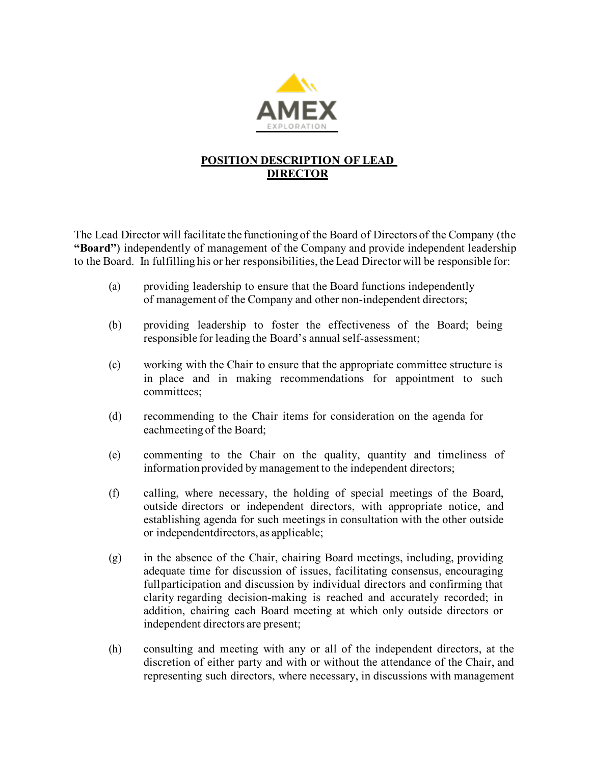

## **POSITION DESCRIPTION OF LEAD DIRECTOR**

The Lead Director will facilitate the functioning of the Board of Directors of the Company (the **"Board"**) independently of management of the Company and provide independent leadership to the Board. In fulfilling his or her responsibilities, the Lead Director will be responsible for:

- (a) providing leadership to ensure that the Board functions independently of management of the Company and other non-independent directors;
- (b) providing leadership to foster the effectiveness of the Board; being responsible for leading the Board's annual self-assessment;
- (c) working with the Chair to ensure that the appropriate committee structure is in place and in making recommendations for appointment to such committees;
- (d) recommending to the Chair items for consideration on the agenda for eachmeeting of the Board;
- (e) commenting to the Chair on the quality, quantity and timeliness of information provided by management to the independent directors;
- (f) calling, where necessary, the holding of special meetings of the Board, outside directors or independent directors, with appropriate notice, and establishing agenda for such meetings in consultation with the other outside or independentdirectors, as applicable;
- (g) in the absence of the Chair, chairing Board meetings, including, providing adequate time for discussion of issues, facilitating consensus, encouraging fullparticipation and discussion by individual directors and confirming that clarity regarding decision-making is reached and accurately recorded; in addition, chairing each Board meeting at which only outside directors or independent directors are present;
- (h) consulting and meeting with any or all of the independent directors, at the discretion of either party and with or without the attendance of the Chair, and representing such directors, where necessary, in discussions with management